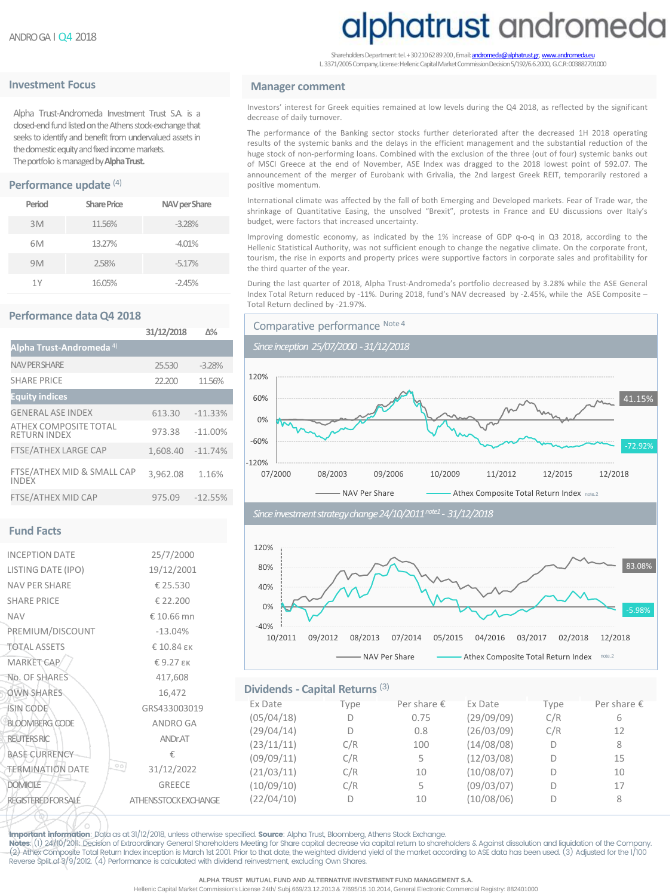## **Investment Focus Manager comment**

Alpha Trust-Andromeda Investment Trust S.A. is a closed-end fund listed on the Athens stock-exchange that seeks to identify and benefit from undervalued assets in the domestic equity and fixed income markets. The portfolio is managed by **Alpha Trust.** 

## **Performance update** (4)

| Period | <b>Share Price</b> | NAV per Share |
|--------|--------------------|---------------|
| 3M     | 11.56%             | $-3.28%$      |
| 6M     | 13.27%             | $-4.01%$      |
| 9M     | 2.58%              | $-5.17%$      |
| 1Y     | 16.05%             | $-2.45%$      |

#### **Performance data Q4 2018**

|                                              | 31/12/2018 | $N\%$     |
|----------------------------------------------|------------|-----------|
| Alpha Trust-Andromeda <sup>4)</sup>          |            |           |
| <b>NAV PER SHARE</b>                         | 25.530     | $-3.28%$  |
| <b>SHARE PRICE</b>                           | 22,200     | 11.56%    |
| <b>Equity indices</b>                        |            |           |
| <b>GENERAL ASE INDEX</b>                     | 613.30     | $-11.33%$ |
| ATHEX COMPOSITE TOTAL<br><b>RETURN INDEX</b> | 973.38     | $-11.00%$ |
| <b>FTSE/ATHEX LARGE CAP</b>                  | 1,608.40   | $-11.74%$ |
| FTSE/ATHEX MID & SMALL CAP<br><b>INDEX</b>   | 3.962.08   | 1.16%     |
| <b>FTSE/ATHEX MID CAP</b>                    | 975.09     | $-12.55%$ |

#### **Fund Facts**

| <b>INCEPTION DATE</b>                      | 25/7/2000                    |
|--------------------------------------------|------------------------------|
| LISTING DATE (IPO)                         | 19/12/2001                   |
| <b>NAV PFR SHARF</b>                       | € 25.530                     |
| <b>SHARE PRICE</b>                         | € 22.200                     |
| <b>NAV</b>                                 | €10.66 mn                    |
| PREMIUM/DISCOUNT                           | $-13.04%$                    |
| <b>TOTAL ASSETS</b>                        | € 10.84 εк                   |
| <b>MARKET CAP</b>                          | €9.27 εк                     |
| No. OF SHARES                              | 417,608                      |
| <b>OWN SHARES</b>                          | 16,472                       |
| <b>ISIN CODE</b>                           | GRS433003019                 |
| <b>BLOOMBERG CODE</b>                      | <b>ANDRO GA</b>              |
| <b>REUTERS RIC</b>                         | <b>ANDr.AT</b>               |
| <b>BASE CURRENCY</b>                       | €                            |
| $\circ$ $\circ$<br><b>TERMINATION DATE</b> | 31/12/2022                   |
| <b>DOMICILE</b>                            | <b>GREECE</b>                |
| <b>REGISTERED FOR SALE</b>                 | <b>ATHENS STOCK EXCHANGE</b> |
|                                            |                              |

# alphatrust andromeda

Shareholders Department: tel. + 30 210 62 89 200, Email: andr L. 3371/2005 Company, License: Hellenic Capital Market Commission Decision 5/192/6.6.2000, G.C.R: 003882701000

Investors' interest for Greek equities remained at low levels during the Q4 2018, as reflected by the significant decrease of daily turnover.

The performance of the Banking sector stocks further deteriorated after the decreased 1H 2018 operating results of the systemic banks and the delays in the efficient management and the substantial reduction of the huge stock of non-performing loans. Combined with the exclusion of the three (out of four) systemic banks out of MSCI Greece at the end of November, ASE Index was dragged to the 2018 lowest point of 592.07. The announcement of the merger of Eurobank with Grivalia, the 2nd largest Greek REIT, temporarily restored a positive momentum.

International climate was affected by the fall of both Emerging and Developed markets. Fear of Trade war, the shrinkage of Quantitative Easing, the unsolved "Brexit", protests in France and EU discussions over Italy's budget, were factors that increased uncertainty.

Improving domestic economy, as indicated by the 1% increase of GDP q-o-q in Q3 2018, according to the Hellenic Statistical Authority, was not sufficient enough to change the negative climate. On the corporate front, tourism, the rise in exports and property prices were supportive factors in corporate sales and profitability for the third quarter of the year.

During the last quarter of 2018, Alpha Trust-Andromeda's portfolio decreased by 3.28% while the ASE General Index Total Return reduced by -11%. During 2018, fund's NAV decreased by -2.45%, while the ASE Composite – Total Return declined by -21.97%.







### **Dividends - Capital Returns** (3)

| 5433003019            | Ex Date    | Type | Per share $\epsilon$ | Ex Date    | Type | Per share $\epsilon$ |
|-----------------------|------------|------|----------------------|------------|------|----------------------|
| <b>INDRO GA</b>       | (05/04/18) |      | 0.75                 | (29/09/09) | C/R  | 6                    |
|                       | (29/04/14) |      | 0.8                  | (26/03/09) | C/R  | 12                   |
| ANDr.AT               | (23/11/11) | C/R  | 100                  | (14/08/08) | D    | 8                    |
| €                     | (09/09/11) | C/R  | 5.                   | (12/03/08) | D    | 15                   |
| 1/12/2022             | (21/03/11) | C/R  | 10                   | (10/08/07) | D    | 10                   |
| GREECE                | (10/09/10) | C/R  | 5.                   | (09/03/07) | D    | 17                   |
| <b>SSTOCKEXCHANGE</b> | (22/04/10) |      | 10                   | (10/08/06) | D    | 8                    |
|                       |            |      |                      |            |      |                      |

Important information: Data as at 31/12/2018, unless otherwise specified. Source: Alpha Trust, Bloomberg, Athens Stock Exchange.

Notes: (1) 24/10/2011: Decision of Extraordinary General Shareholders Meeting for Share capital decrease via capital return to shareholders & Against dissolution and liquidation of the Company. (2) Athex Composite Total Return Index inception is March 1st 2001. Prior to that date, the weighted dividend yield of the market according to ASE data has been used. (3) Adjusted for the 1/100 Reverse Split of 3/9/2012. (4) Performance is calculated with dividend reinvestment, excluding Own Shares.

Hellenic Capital Market Commission's License 24th/ Subj.669/23.12.2013 & 7/695/15.10.2014, General Electronic Commercial Registry: 882401000